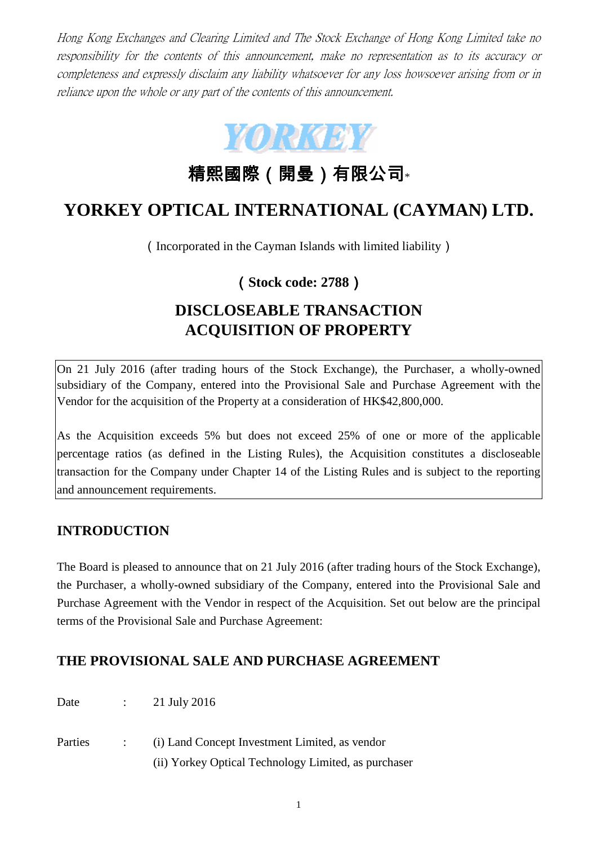Hong Kong Exchanges and Clearing Limited and The Stock Exchange of Hong Kong Limited take no responsibility for the contents of this announcement, make no representation as to its accuracy or completeness and expressly disclaim any liability whatsoever for any loss howsoever arising from or in reliance upon the whole or any part of the contents of this announcement.



精熙國際(開曼)有限公司\*

# **YORKEY OPTICAL INTERNATIONAL (CAYMAN) LTD.**

(Incorporated in the Cayman Islands with limited liability)

## (**Stock code: 2788**)

# **DISCLOSEABLE TRANSACTION ACQUISITION OF PROPERTY**

On 21 July 2016 (after trading hours of the Stock Exchange), the Purchaser, a wholly-owned subsidiary of the Company, entered into the Provisional Sale and Purchase Agreement with the Vendor for the acquisition of the Property at a consideration of HK\$42,800,000.

As the Acquisition exceeds 5% but does not exceed 25% of one or more of the applicable percentage ratios (as defined in the Listing Rules), the Acquisition constitutes a discloseable transaction for the Company under Chapter 14 of the Listing Rules and is subject to the reporting and announcement requirements.

## **INTRODUCTION**

The Board is pleased to announce that on 21 July 2016 (after trading hours of the Stock Exchange), the Purchaser, a wholly-owned subsidiary of the Company, entered into the Provisional Sale and Purchase Agreement with the Vendor in respect of the Acquisition. Set out below are the principal terms of the Provisional Sale and Purchase Agreement:

## **THE PROVISIONAL SALE AND PURCHASE AGREEMENT**

Date : 21 July 2016

Parties : (i) Land Concept Investment Limited, as vendor (ii) Yorkey Optical Technology Limited, as purchaser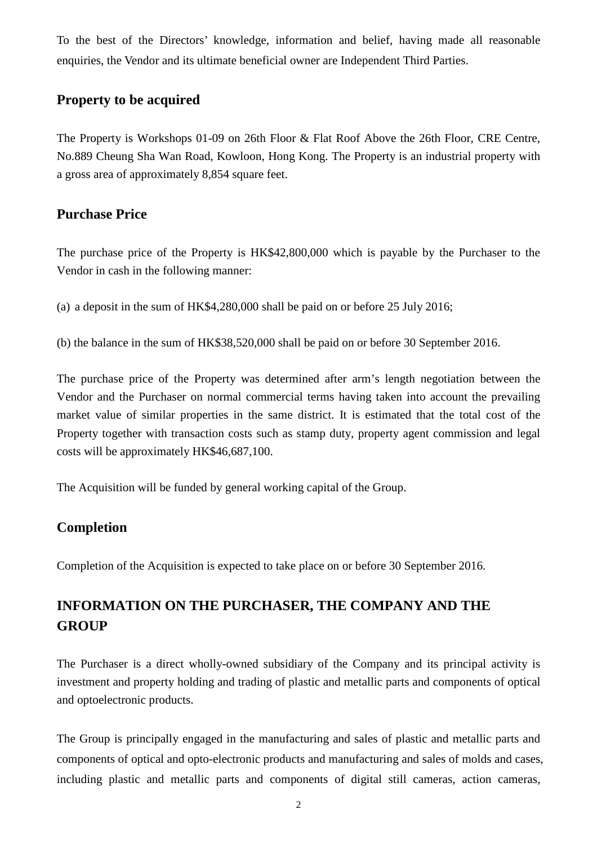To the best of the Directors' knowledge, information and belief, having made all reasonable enquiries, the Vendor and its ultimate beneficial owner are Independent Third Parties.

### **Property to be acquired**

The Property is Workshops 01-09 on 26th Floor & Flat Roof Above the 26th Floor, CRE Centre, No.889 Cheung Sha Wan Road, Kowloon, Hong Kong. The Property is an industrial property with a gross area of approximately 8,854 square feet.

#### **Purchase Price**

The purchase price of the Property is HK\$42,800,000 which is payable by the Purchaser to the Vendor in cash in the following manner:

(a) a deposit in the sum of HK\$4,280,000 shall be paid on or before 25 July 2016;

(b) the balance in the sum of HK\$38,520,000 shall be paid on or before 30 September 2016.

The purchase price of the Property was determined after arm's length negotiation between the Vendor and the Purchaser on normal commercial terms having taken into account the prevailing market value of similar properties in the same district. It is estimated that the total cost of the Property together with transaction costs such as stamp duty, property agent commission and legal costs will be approximately HK\$46,687,100.

The Acquisition will be funded by general working capital of the Group.

## **Completion**

Completion of the Acquisition is expected to take place on or before 30 September 2016.

## **INFORMATION ON THE PURCHASER, THE COMPANY AND THE GROUP**

The Purchaser is a direct wholly-owned subsidiary of the Company and its principal activity is investment and property holding and trading of plastic and metallic parts and components of optical and optoelectronic products.

The Group is principally engaged in the manufacturing and sales of plastic and metallic parts and components of optical and opto-electronic products and manufacturing and sales of molds and cases, including plastic and metallic parts and components of digital still cameras, action cameras,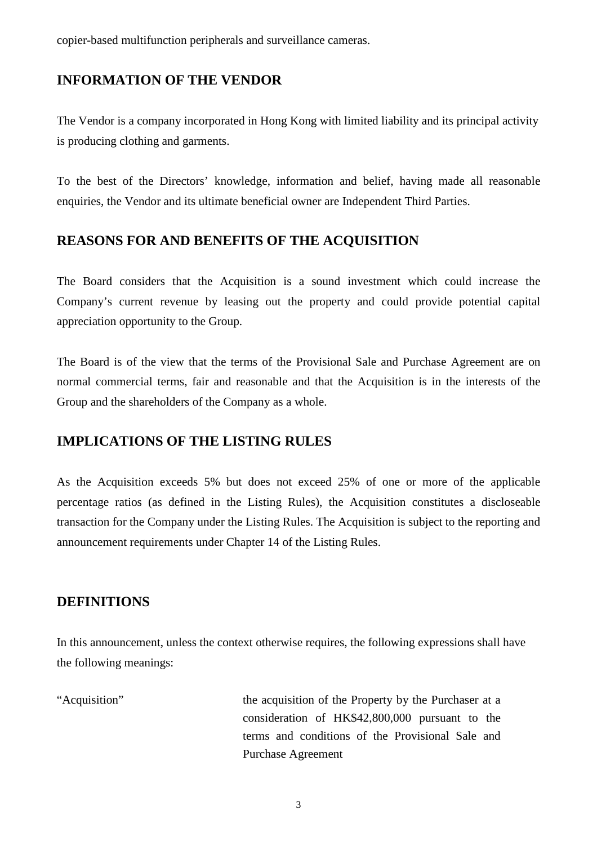copier-based multifunction peripherals and surveillance cameras.

#### **INFORMATION OF THE VENDOR**

The Vendor is a company incorporated in Hong Kong with limited liability and its principal activity is producing clothing and garments.

To the best of the Directors' knowledge, information and belief, having made all reasonable enquiries, the Vendor and its ultimate beneficial owner are Independent Third Parties.

#### **REASONS FOR AND BENEFITS OF THE ACQUISITION**

The Board considers that the Acquisition is a sound investment which could increase the Company's current revenue by leasing out the property and could provide potential capital appreciation opportunity to the Group.

The Board is of the view that the terms of the Provisional Sale and Purchase Agreement are on normal commercial terms, fair and reasonable and that the Acquisition is in the interests of the Group and the shareholders of the Company as a whole.

#### **IMPLICATIONS OF THE LISTING RULES**

As the Acquisition exceeds 5% but does not exceed 25% of one or more of the applicable percentage ratios (as defined in the Listing Rules), the Acquisition constitutes a discloseable transaction for the Company under the Listing Rules. The Acquisition is subject to the reporting and announcement requirements under Chapter 14 of the Listing Rules.

#### **DEFINITIONS**

In this announcement, unless the context otherwise requires, the following expressions shall have the following meanings:

"Acquisition" the acquisition of the Property by the Purchaser at a consideration of HK\$42,800,000 pursuant to the terms and conditions of the Provisional Sale and Purchase Agreement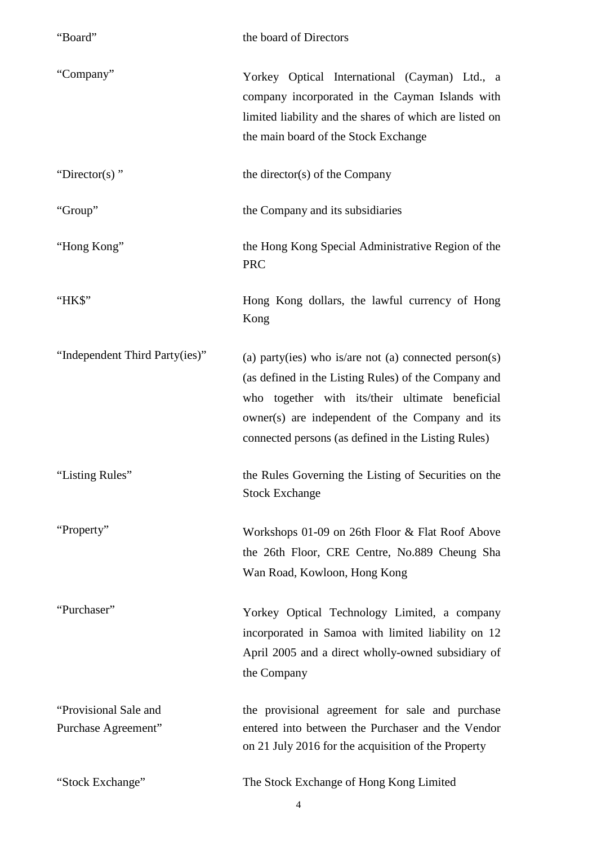| "Board"                                      | the board of Directors                                                                                                                                                                                                                                                     |
|----------------------------------------------|----------------------------------------------------------------------------------------------------------------------------------------------------------------------------------------------------------------------------------------------------------------------------|
| "Company"                                    | Yorkey Optical International (Cayman) Ltd., a<br>company incorporated in the Cayman Islands with<br>limited liability and the shares of which are listed on<br>the main board of the Stock Exchange                                                                        |
| "Director(s)"                                | the director(s) of the Company                                                                                                                                                                                                                                             |
| "Group"                                      | the Company and its subsidiaries                                                                                                                                                                                                                                           |
| "Hong Kong"                                  | the Hong Kong Special Administrative Region of the<br><b>PRC</b>                                                                                                                                                                                                           |
| "HK\$"                                       | Hong Kong dollars, the lawful currency of Hong<br>Kong                                                                                                                                                                                                                     |
| "Independent Third Party(ies)"               | (a) party(ies) who is/are not (a) connected person(s)<br>(as defined in the Listing Rules) of the Company and<br>who together with its/their ultimate beneficial<br>owner(s) are independent of the Company and its<br>connected persons (as defined in the Listing Rules) |
| 'Listing Rules''                             | the Rules Governing the Listing of Securities on the<br><b>Stock Exchange</b>                                                                                                                                                                                              |
| "Property"                                   | Workshops 01-09 on 26th Floor & Flat Roof Above<br>the 26th Floor, CRE Centre, No.889 Cheung Sha<br>Wan Road, Kowloon, Hong Kong                                                                                                                                           |
| "Purchaser"                                  | Yorkey Optical Technology Limited, a company<br>incorporated in Samoa with limited liability on 12<br>April 2005 and a direct wholly-owned subsidiary of<br>the Company                                                                                                    |
| "Provisional Sale and<br>Purchase Agreement" | the provisional agreement for sale and purchase<br>entered into between the Purchaser and the Vendor<br>on 21 July 2016 for the acquisition of the Property                                                                                                                |
| "Stock Exchange"                             | The Stock Exchange of Hong Kong Limited                                                                                                                                                                                                                                    |